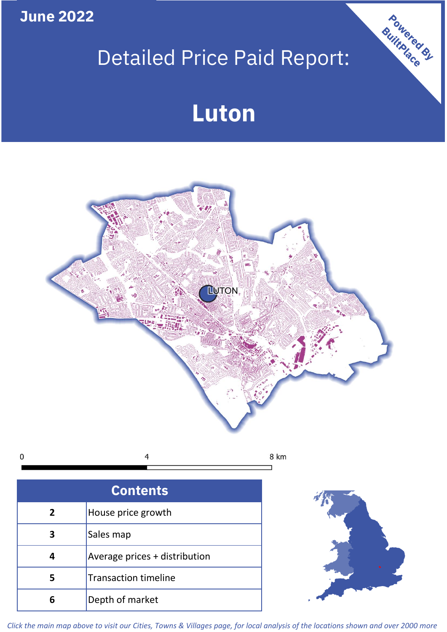**June 2022**

# Detailed Price Paid Report:

# **Luton**



 $\mathbf 0$ 4 8 km

| <b>Contents</b> |                               |  |  |
|-----------------|-------------------------------|--|--|
| $\overline{2}$  | House price growth            |  |  |
| 3               | Sales map                     |  |  |
|                 | Average prices + distribution |  |  |
| 5               | <b>Transaction timeline</b>   |  |  |
|                 | Depth of market               |  |  |



Powered By

*Click the main map above to visit our Cities, Towns & Villages page, for local analysis of the locations shown and over 2000 more*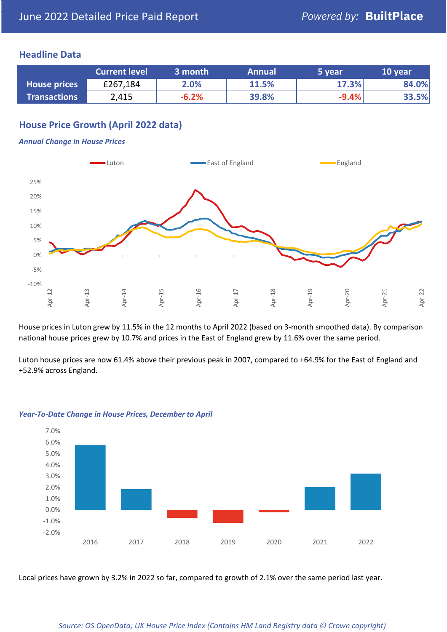### **Headline Data**

|                     | <b>Current level</b> | 3 month | <b>Annual</b> | '5 vear. | 10 year |
|---------------------|----------------------|---------|---------------|----------|---------|
| House prices        | £267,184             | 2.0%    | 11.5%         | 17.3%    | 84.0%   |
| <b>Transactions</b> | 2,415                | $-6.2%$ | 39.8%         | $-9.4%$  | 33.5%   |

# **House Price Growth (April 2022 data)**

#### *Annual Change in House Prices*



House prices in Luton grew by 11.5% in the 12 months to April 2022 (based on 3-month smoothed data). By comparison national house prices grew by 10.7% and prices in the East of England grew by 11.6% over the same period.

Luton house prices are now 61.4% above their previous peak in 2007, compared to +64.9% for the East of England and +52.9% across England.



#### *Year-To-Date Change in House Prices, December to April*

Local prices have grown by 3.2% in 2022 so far, compared to growth of 2.1% over the same period last year.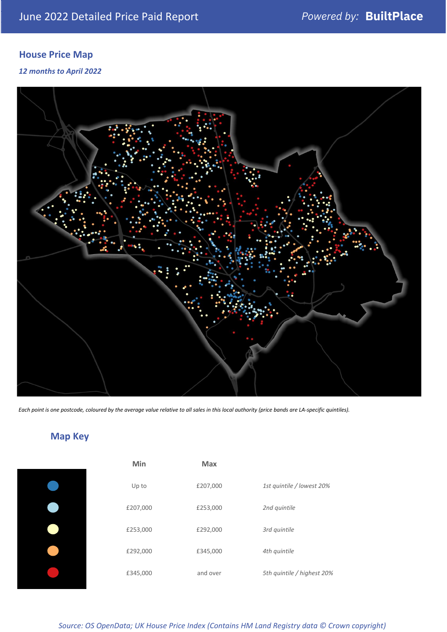# **House Price Map**

*12 months to April 2022*



*Each point is one postcode, coloured by the average value relative to all sales in this local authority (price bands are LA-specific quintiles).*

# **Map Key**

| Min      | <b>Max</b> |                            |
|----------|------------|----------------------------|
| Up to    | £207,000   | 1st quintile / lowest 20%  |
| £207,000 | £253,000   | 2nd quintile               |
| £253,000 | £292,000   | 3rd quintile               |
| £292,000 | £345,000   | 4th quintile               |
| £345,000 | and over   | 5th quintile / highest 20% |
|          |            |                            |

*Source: OS OpenData; UK House Price Index (Contains HM Land Registry data © Crown copyright)*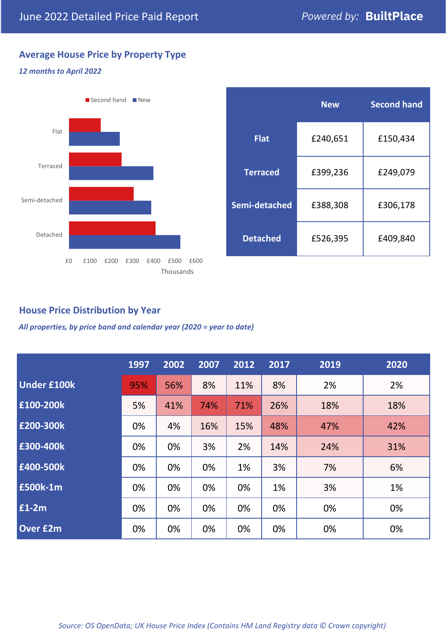# **Average House Price by Property Type**

#### *12 months to April 2022*



|                 | <b>New</b> | <b>Second hand</b> |  |  |
|-----------------|------------|--------------------|--|--|
| <b>Flat</b>     | £240,651   | £150,434           |  |  |
| <b>Terraced</b> | £399,236   | £249,079           |  |  |
| Semi-detached   | £388,308   | £306,178           |  |  |
| <b>Detached</b> | £526,395   | £409,840           |  |  |

# **House Price Distribution by Year**

*All properties, by price band and calendar year (2020 = year to date)*

|                    | 1997 | 2002 | 2007 | 2012 | 2017 | 2019 | 2020 |
|--------------------|------|------|------|------|------|------|------|
| <b>Under £100k</b> | 95%  | 56%  | 8%   | 11%  | 8%   | 2%   | 2%   |
| £100-200k          | 5%   | 41%  | 74%  | 71%  | 26%  | 18%  | 18%  |
| £200-300k          | 0%   | 4%   | 16%  | 15%  | 48%  | 47%  | 42%  |
| £300-400k          | 0%   | 0%   | 3%   | 2%   | 14%  | 24%  | 31%  |
| £400-500k          | 0%   | 0%   | 0%   | 1%   | 3%   | 7%   | 6%   |
| £500k-1m           | 0%   | 0%   | 0%   | 0%   | 1%   | 3%   | 1%   |
| £1-2m              | 0%   | 0%   | 0%   | 0%   | 0%   | 0%   | 0%   |
| <b>Over £2m</b>    | 0%   | 0%   | 0%   | 0%   | 0%   | 0%   | 0%   |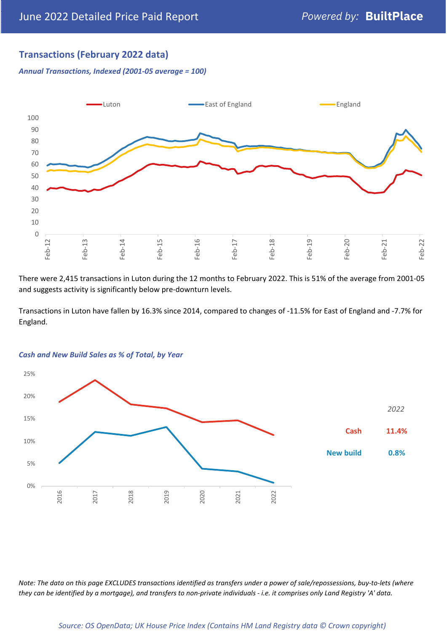# **Transactions (February 2022 data)**

*Annual Transactions, Indexed (2001-05 average = 100)*



There were 2,415 transactions in Luton during the 12 months to February 2022. This is 51% of the average from 2001-05 and suggests activity is significantly below pre-downturn levels.

Transactions in Luton have fallen by 16.3% since 2014, compared to changes of -11.5% for East of England and -7.7% for England.



#### *Cash and New Build Sales as % of Total, by Year*

*Note: The data on this page EXCLUDES transactions identified as transfers under a power of sale/repossessions, buy-to-lets (where they can be identified by a mortgage), and transfers to non-private individuals - i.e. it comprises only Land Registry 'A' data.*